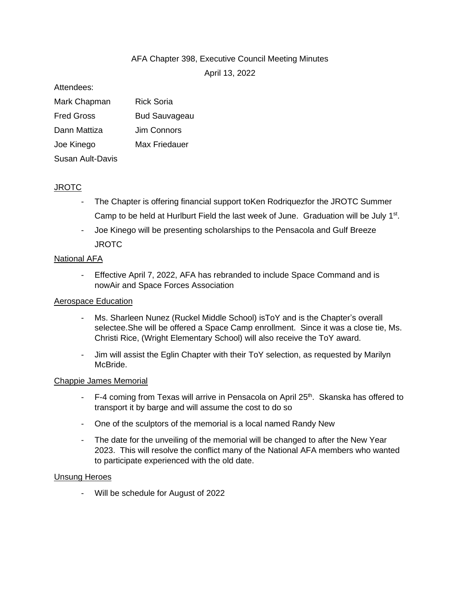# AFA Chapter 398, Executive Council Meeting Minutes

April 13, 2022

#### Attendees:

| Mark Chapman      | Rick Soria           |
|-------------------|----------------------|
| <b>Fred Gross</b> | <b>Bud Sauvageau</b> |
| Dann Mattiza      | Jim Connors          |
| Joe Kinego        | Max Friedauer        |
| Susan Ault-Davis  |                      |

#### JROTC

- The Chapter is offering financial support to Ken Rodriquezfor the JROTC Summer Camp to be held at Hurlburt Field the last week of June. Graduation will be July 1<sup>st</sup>.
- Joe Kinego will be presenting scholarships to the Pensacola and Gulf Breeze **JROTC**

### National AFA

- Effective April 7, 2022, AFA has rebranded to include Space Command and is nowAir and Space Forces Association

#### Aerospace Education

- Ms. Sharleen Nunez (Ruckel Middle School) isToY and is the Chapter's overall selectee.She will be offered a Space Camp enrollment. Since it was a close tie, Ms. Christi Rice, (Wright Elementary School) will also receive the ToY award.
- Jim will assist the Eglin Chapter with their ToY selection, as requested by Marilyn McBride.

#### Chappie James Memorial

- F-4 coming from Texas will arrive in Pensacola on April 25<sup>th</sup>. Skanska has offered to transport it by barge and will assume the cost to do so
- One of the sculptors of the memorial is a local named Randy New
- The date for the unveiling of the memorial will be changed to after the New Year 2023. This will resolve the conflict many of the National AFA members who wanted to participate experienced with the old date.

#### Unsung Heroes

- Will be schedule for August of 2022